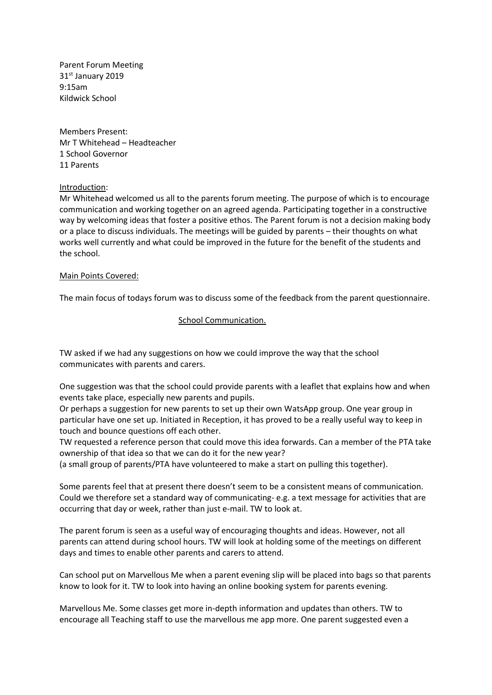Parent Forum Meeting 31st January 2019 9:15am Kildwick School

Members Present: Mr T Whitehead – Headteacher 1 School Governor 11 Parents

### Introduction:

Mr Whitehead welcomed us all to the parents forum meeting. The purpose of which is to encourage communication and working together on an agreed agenda. Participating together in a constructive way by welcoming ideas that foster a positive ethos. The Parent forum is not a decision making body or a place to discuss individuals. The meetings will be guided by parents – their thoughts on what works well currently and what could be improved in the future for the benefit of the students and the school.

### Main Points Covered:

The main focus of todays forum was to discuss some of the feedback from the parent questionnaire.

### School Communication.

TW asked if we had any suggestions on how we could improve the way that the school communicates with parents and carers.

One suggestion was that the school could provide parents with a leaflet that explains how and when events take place, especially new parents and pupils.

Or perhaps a suggestion for new parents to set up their own WatsApp group. One year group in particular have one set up. Initiated in Reception, it has proved to be a really useful way to keep in touch and bounce questions off each other.

TW requested a reference person that could move this idea forwards. Can a member of the PTA take ownership of that idea so that we can do it for the new year?

(a small group of parents/PTA have volunteered to make a start on pulling this together).

Some parents feel that at present there doesn't seem to be a consistent means of communication. Could we therefore set a standard way of communicating- e.g. a text message for activities that are occurring that day or week, rather than just e-mail. TW to look at.

The parent forum is seen as a useful way of encouraging thoughts and ideas. However, not all parents can attend during school hours. TW will look at holding some of the meetings on different days and times to enable other parents and carers to attend.

Can school put on Marvellous Me when a parent evening slip will be placed into bags so that parents know to look for it. TW to look into having an online booking system for parents evening.

Marvellous Me. Some classes get more in-depth information and updates than others. TW to encourage all Teaching staff to use the marvellous me app more. One parent suggested even a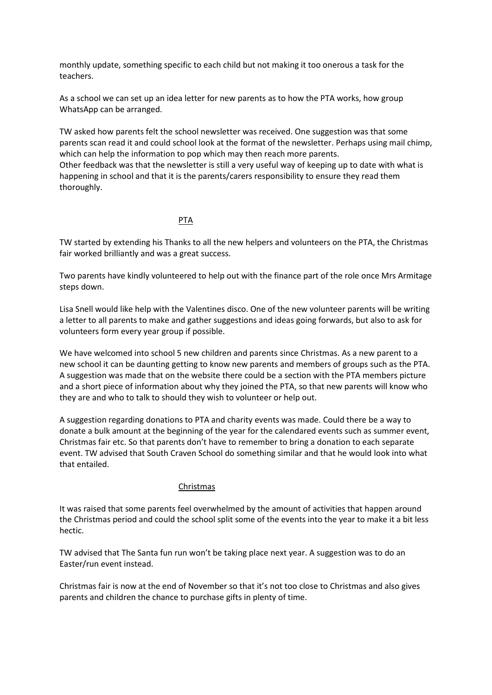monthly update, something specific to each child but not making it too onerous a task for the teachers.

As a school we can set up an idea letter for new parents as to how the PTA works, how group WhatsApp can be arranged.

TW asked how parents felt the school newsletter was received. One suggestion was that some parents scan read it and could school look at the format of the newsletter. Perhaps using mail chimp, which can help the information to pop which may then reach more parents.

Other feedback was that the newsletter is still a very useful way of keeping up to date with what is happening in school and that it is the parents/carers responsibility to ensure they read them thoroughly.

## PTA

TW started by extending his Thanks to all the new helpers and volunteers on the PTA, the Christmas fair worked brilliantly and was a great success.

Two parents have kindly volunteered to help out with the finance part of the role once Mrs Armitage steps down.

Lisa Snell would like help with the Valentines disco. One of the new volunteer parents will be writing a letter to all parents to make and gather suggestions and ideas going forwards, but also to ask for volunteers form every year group if possible.

We have welcomed into school 5 new children and parents since Christmas. As a new parent to a new school it can be daunting getting to know new parents and members of groups such as the PTA. A suggestion was made that on the website there could be a section with the PTA members picture and a short piece of information about why they joined the PTA, so that new parents will know who they are and who to talk to should they wish to volunteer or help out.

A suggestion regarding donations to PTA and charity events was made. Could there be a way to donate a bulk amount at the beginning of the year for the calendared events such as summer event, Christmas fair etc. So that parents don't have to remember to bring a donation to each separate event. TW advised that South Craven School do something similar and that he would look into what that entailed.

### Christmas

It was raised that some parents feel overwhelmed by the amount of activities that happen around the Christmas period and could the school split some of the events into the year to make it a bit less hectic.

TW advised that The Santa fun run won't be taking place next year. A suggestion was to do an Easter/run event instead.

Christmas fair is now at the end of November so that it's not too close to Christmas and also gives parents and children the chance to purchase gifts in plenty of time.